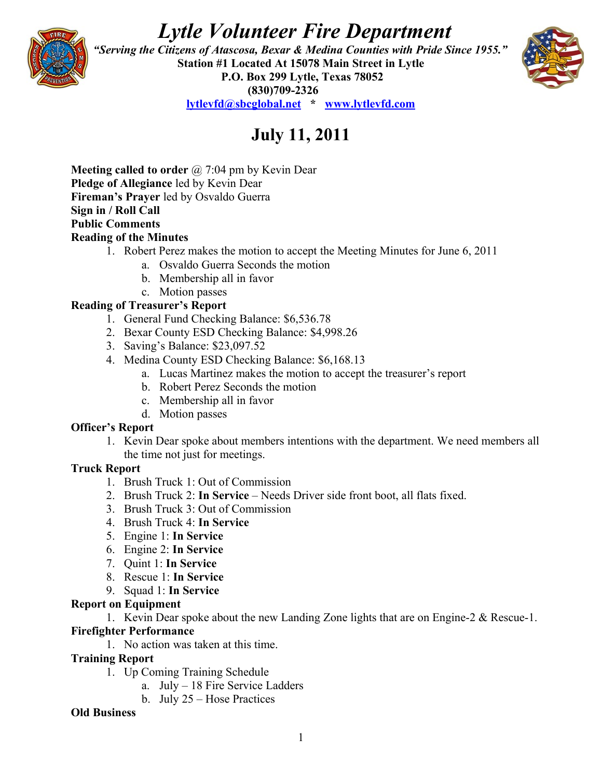# *Lytle Volunteer Fire Department*



 *"Serving the Citizens of Atascosa, Bexar & Medina Counties with Pride Since 1955."*  **Station #1 Located At 15078 Main Street in Lytle P.O. Box 299 Lytle, Texas 78052 (830)709-2326 [lytlevfd@sbcglobal.net](mailto:lytlevfd@sbcglobal.net) \* [www.lytlevfd.com](http://www.lytlevfd.com/)**



**July 11, 2011**

**Meeting called to order** @ 7:04 pm by Kevin Dear **Pledge of Allegiance** led by Kevin Dear **Fireman's Prayer** led by Osvaldo Guerra **Sign in / Roll Call Public Comments Reading of the Minutes**

- 1. Robert Perez makes the motion to accept the Meeting Minutes for June 6, 2011
	- a. Osvaldo Guerra Seconds the motion
	- b. Membership all in favor
	- c. Motion passes

## **Reading of Treasurer's Report**

- 1. General Fund Checking Balance: \$6,536.78
- 2. Bexar County ESD Checking Balance: \$4,998.26
- 3. Saving's Balance: \$23,097.52
- 4. Medina County ESD Checking Balance: \$6,168.13
	- a. Lucas Martinez makes the motion to accept the treasurer's report
	- b. Robert Perez Seconds the motion
	- c. Membership all in favor
	- d. Motion passes

## **Officer's Report**

1. Kevin Dear spoke about members intentions with the department. We need members all the time not just for meetings.

## **Truck Report**

- 1. Brush Truck 1: Out of Commission
- 2. Brush Truck 2: **In Service**  Needs Driver side front boot, all flats fixed.
- 3. Brush Truck 3: Out of Commission
- 4. Brush Truck 4: **In Service**
- 5. Engine 1: **In Service**
- 6. Engine 2: **In Service**
- 7. Quint 1: **In Service**
- 8. Rescue 1: **In Service**
- 9. Squad 1: **In Service**

## **Report on Equipment**

1. Kevin Dear spoke about the new Landing Zone lights that are on Engine-2 & Rescue-1.

## **Firefighter Performance**

1. No action was taken at this time.

## **Training Report**

- 1. Up Coming Training Schedule
	- a. July 18 Fire Service Ladders
	- b. July 25 Hose Practices

#### **Old Business**